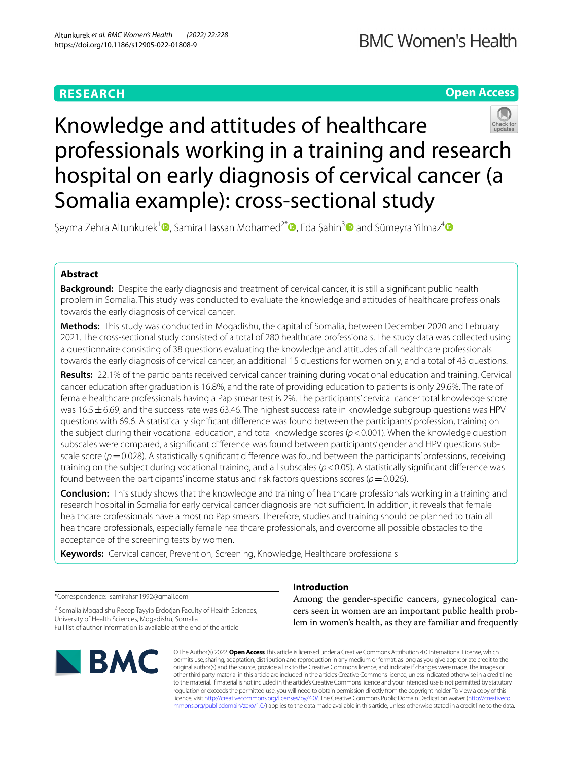# **RESEARCH**

# **Open Access**



# Knowledge and attitudes of healthcare professionals working in a training and research hospital on early diagnosis of cervical cancer (a Somalia example): cross-sectional study

Seyma Zehra Altunkurek<sup>[1](http://orcid.org/0000-0002-1464-8313)</sup> . Samira Hassan Mohamed<sup>2[\\*](http://orcid.org/0000-0001-5834-3733)</sup> , Eda Şahin<sup>3</sup> and Sümeyra Yilmaz<sup>4</sup> **D** 

# **Abstract**

**Background:** Despite the early diagnosis and treatment of cervical cancer, it is still a signifcant public health problem in Somalia. This study was conducted to evaluate the knowledge and attitudes of healthcare professionals towards the early diagnosis of cervical cancer.

**Methods:** This study was conducted in Mogadishu, the capital of Somalia, between December 2020 and February 2021. The cross-sectional study consisted of a total of 280 healthcare professionals. The study data was collected using a questionnaire consisting of 38 questions evaluating the knowledge and attitudes of all healthcare professionals towards the early diagnosis of cervical cancer, an additional 15 questions for women only, and a total of 43 questions.

**Results:** 22.1% of the participants received cervical cancer training during vocational education and training. Cervical cancer education after graduation is 16.8%, and the rate of providing education to patients is only 29.6%. The rate of female healthcare professionals having a Pap smear test is 2%. The participants' cervical cancer total knowledge score was 16.5±6.69, and the success rate was 63.46. The highest success rate in knowledge subgroup questions was HPV questions with 69.6. A statistically signifcant diference was found between the participants' profession, training on the subject during their vocational education, and total knowledge scores (*p*<0.001). When the knowledge question subscales were compared, a signifcant diference was found between participants' gender and HPV questions subscale score ( $p=0.028$ ). A statistically significant difference was found between the participants' professions, receiving training on the subject during vocational training, and all subscales (*p*<0.05). A statistically signifcant diference was found between the participants' income status and risk factors questions scores ( $p = 0.026$ ).

**Conclusion:** This study shows that the knowledge and training of healthcare professionals working in a training and research hospital in Somalia for early cervical cancer diagnosis are not sufficient. In addition, it reveals that female healthcare professionals have almost no Pap smears. Therefore, studies and training should be planned to train all healthcare professionals, especially female healthcare professionals, and overcome all possible obstacles to the acceptance of the screening tests by women.

**Keywords:** Cervical cancer, Prevention, Screening, Knowledge, Healthcare professionals

\*Correspondence: samirahsn1992@gmail.com

<sup>2</sup> Somalia Mogadishu Recep Tayyip Erdoğan Faculty of Health Sciences, University of Health Sciences, Mogadishu, Somalia Full list of author information is available at the end of the article



# **Introduction**

Among the gender-specifc cancers, gynecological cancers seen in women are an important public health problem in women's health, as they are familiar and frequently

© The Author(s) 2022. **Open Access** This article is licensed under a Creative Commons Attribution 4.0 International License, which permits use, sharing, adaptation, distribution and reproduction in any medium or format, as long as you give appropriate credit to the original author(s) and the source, provide a link to the Creative Commons licence, and indicate if changes were made. The images or other third party material in this article are included in the article's Creative Commons licence, unless indicated otherwise in a credit line to the material. If material is not included in the article's Creative Commons licence and your intended use is not permitted by statutory regulation or exceeds the permitted use, you will need to obtain permission directly from the copyright holder. To view a copy of this licence, visit [http://creativecommons.org/licenses/by/4.0/.](http://creativecommons.org/licenses/by/4.0/) The Creative Commons Public Domain Dedication waiver ([http://creativeco](http://creativecommons.org/publicdomain/zero/1.0/) [mmons.org/publicdomain/zero/1.0/](http://creativecommons.org/publicdomain/zero/1.0/)) applies to the data made available in this article, unless otherwise stated in a credit line to the data.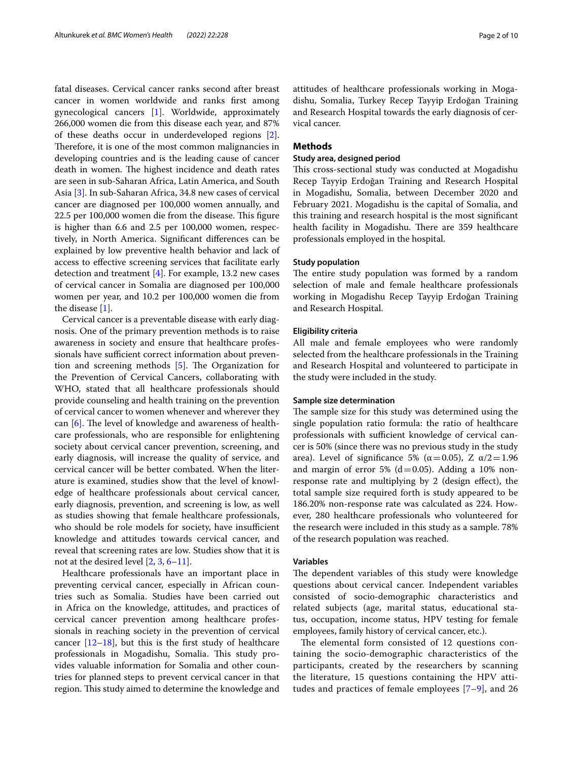fatal diseases. Cervical cancer ranks second after breast cancer in women worldwide and ranks frst among gynecological cancers [\[1](#page-8-0)]. Worldwide, approximately 266,000 women die from this disease each year, and 87% of these deaths occur in underdeveloped regions [\[2](#page-8-1)]. Therefore, it is one of the most common malignancies in developing countries and is the leading cause of cancer death in women. The highest incidence and death rates are seen in sub-Saharan Africa, Latin America, and South Asia [\[3](#page-8-2)]. In sub-Saharan Africa, 34.8 new cases of cervical cancer are diagnosed per 100,000 women annually, and 22.5 per 100,000 women die from the disease. This figure is higher than 6.6 and 2.5 per 100,000 women, respectively, in North America. Signifcant diferences can be explained by low preventive health behavior and lack of access to efective screening services that facilitate early detection and treatment  $[4]$  $[4]$ . For example, 13.2 new cases of cervical cancer in Somalia are diagnosed per 100,000 women per year, and 10.2 per 100,000 women die from the disease [[1\]](#page-8-0).

Cervical cancer is a preventable disease with early diagnosis. One of the primary prevention methods is to raise awareness in society and ensure that healthcare professionals have sufficient correct information about prevention and screening methods  $[5]$ . The Organization for the Prevention of Cervical Cancers, collaborating with WHO, stated that all healthcare professionals should provide counseling and health training on the prevention of cervical cancer to women whenever and wherever they can [\[6](#page-8-5)]. The level of knowledge and awareness of healthcare professionals, who are responsible for enlightening society about cervical cancer prevention, screening, and early diagnosis, will increase the quality of service, and cervical cancer will be better combated. When the literature is examined, studies show that the level of knowledge of healthcare professionals about cervical cancer, early diagnosis, prevention, and screening is low, as well as studies showing that female healthcare professionals, who should be role models for society, have insufficient knowledge and attitudes towards cervical cancer, and reveal that screening rates are low. Studies show that it is not at the desired level  $[2, 3, 6-11]$  $[2, 3, 6-11]$  $[2, 3, 6-11]$  $[2, 3, 6-11]$  $[2, 3, 6-11]$ .

Healthcare professionals have an important place in preventing cervical cancer, especially in African countries such as Somalia. Studies have been carried out in Africa on the knowledge, attitudes, and practices of cervical cancer prevention among healthcare professionals in reaching society in the prevention of cervical cancer  $[12-18]$  $[12-18]$  $[12-18]$ , but this is the first study of healthcare professionals in Mogadishu, Somalia. This study provides valuable information for Somalia and other countries for planned steps to prevent cervical cancer in that region. This study aimed to determine the knowledge and attitudes of healthcare professionals working in Mogadishu, Somalia, Turkey Recep Tayyip Erdoğan Training and Research Hospital towards the early diagnosis of cervical cancer.

# **Methods**

# **Study area, designed period**

This cross-sectional study was conducted at Mogadishu Recep Tayyip Erdoğan Training and Research Hospital in Mogadishu, Somalia, between December 2020 and February 2021. Mogadishu is the capital of Somalia, and this training and research hospital is the most signifcant health facility in Mogadishu. There are 359 healthcare professionals employed in the hospital.

# **Study population**

The entire study population was formed by a random selection of male and female healthcare professionals working in Mogadishu Recep Tayyip Erdoğan Training and Research Hospital.

# **Eligibility criteria**

All male and female employees who were randomly selected from the healthcare professionals in the Training and Research Hospital and volunteered to participate in the study were included in the study.

# **Sample size determination**

The sample size for this study was determined using the single population ratio formula: the ratio of healthcare professionals with sufficient knowledge of cervical cancer is 50% (since there was no previous study in the study area). Level of significance 5% ( $\alpha$  = 0.05), Z  $\alpha$ /2 = 1.96 and margin of error 5% ( $d=0.05$ ). Adding a 10% nonresponse rate and multiplying by 2 (design efect), the total sample size required forth is study appeared to be 186.20% non-response rate was calculated as 224. However, 280 healthcare professionals who volunteered for the research were included in this study as a sample. 78% of the research population was reached.

## **Variables**

The dependent variables of this study were knowledge questions about cervical cancer. Independent variables consisted of socio-demographic characteristics and related subjects (age, marital status, educational status, occupation, income status, HPV testing for female employees, family history of cervical cancer, etc.).

The elemental form consisted of 12 questions containing the socio-demographic characteristics of the participants, created by the researchers by scanning the literature, 15 questions containing the HPV attitudes and practices of female employees  $[7-9]$  $[7-9]$ , and 26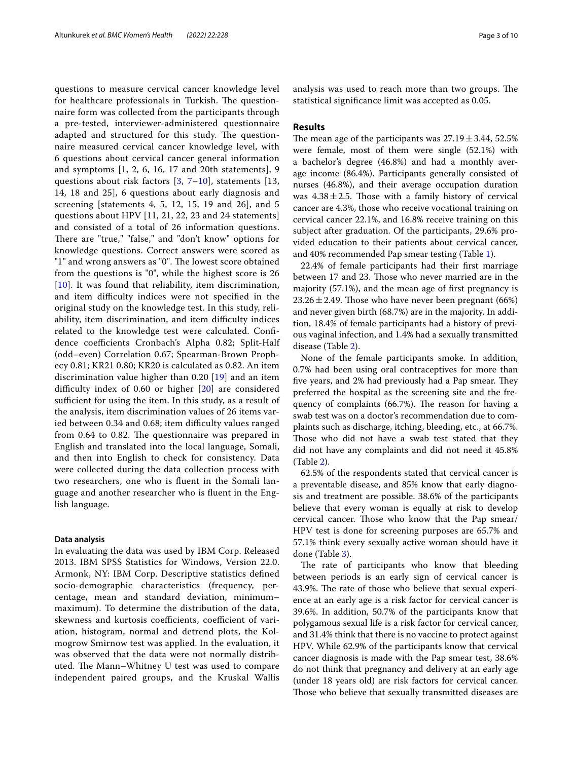questions to measure cervical cancer knowledge level for healthcare professionals in Turkish. The questionnaire form was collected from the participants through a pre-tested, interviewer-administered questionnaire adapted and structured for this study. The questionnaire measured cervical cancer knowledge level, with 6 questions about cervical cancer general information and symptoms [1, 2, 6, 16, 17 and 20th statements], 9 questions about risk factors  $[3, 7-10]$  $[3, 7-10]$  $[3, 7-10]$  $[3, 7-10]$  $[3, 7-10]$ , statements  $[13, 7-10]$ 14, 18 and 25], 6 questions about early diagnosis and screening [statements 4, 5, 12, 15, 19 and 26], and 5 questions about HPV [11, 21, 22, 23 and 24 statements] and consisted of a total of 26 information questions. There are "true," "false," and "don't know" options for knowledge questions. Correct answers were scored as "1" and wrong answers as "0". The lowest score obtained from the questions is "0", while the highest score is 26 [[10](#page-8-10)]. It was found that reliability, item discrimination, and item difficulty indices were not specified in the original study on the knowledge test. In this study, reliability, item discrimination, and item difficulty indices related to the knowledge test were calculated. Confdence coefficients Cronbach's Alpha 0.82; Split-Half (odd–even) Correlation 0.67; Spearman-Brown Prophecy 0.81; KR21 0.80; KR20 is calculated as 0.82. An item discrimination value higher than 0.20 [\[19](#page-9-1)] and an item difficulty index of  $0.60$  or higher  $[20]$  $[20]$  are considered sufficient for using the item. In this study, as a result of the analysis, item discrimination values of 26 items varied between 0.34 and 0.68; item difficulty values ranged from 0.64 to 0.82. The questionnaire was prepared in English and translated into the local language, Somali, and then into English to check for consistency. Data were collected during the data collection process with two researchers, one who is fuent in the Somali language and another researcher who is fuent in the English language.

## **Data analysis**

In evaluating the data was used by IBM Corp. Released 2013. IBM SPSS Statistics for Windows, Version 22.0. Armonk, NY: IBM Corp. Descriptive statistics defned socio-demographic characteristics (frequency, percentage, mean and standard deviation, minimum– maximum). To determine the distribution of the data, skewness and kurtosis coefficients, coefficient of variation, histogram, normal and detrend plots, the Kolmogrow Smirnow test was applied. In the evaluation, it was observed that the data were not normally distributed. The Mann–Whitney U test was used to compare independent paired groups, and the Kruskal Wallis analysis was used to reach more than two groups. The statistical signifcance limit was accepted as 0.05.

# **Results**

The mean age of the participants was  $27.19 \pm 3.44$ , 52.5% were female, most of them were single (52.1%) with a bachelor's degree (46.8%) and had a monthly average income (86.4%). Participants generally consisted of nurses (46.8%), and their average occupation duration was  $4.38 \pm 2.5$ . Those with a family history of cervical cancer are 4.3%, those who receive vocational training on cervical cancer 22.1%, and 16.8% receive training on this subject after graduation. Of the participants, 29.6% provided education to their patients about cervical cancer, and 40% recommended Pap smear testing (Table [1](#page-3-0)).

22.4% of female participants had their frst marriage between 17 and 23. Those who never married are in the majority (57.1%), and the mean age of frst pregnancy is  $23.26 \pm 2.49$ . Those who have never been pregnant (66%) and never given birth (68.7%) are in the majority. In addition, 18.4% of female participants had a history of previous vaginal infection, and 1.4% had a sexually transmitted disease (Table [2](#page-4-0)).

None of the female participants smoke. In addition, 0.7% had been using oral contraceptives for more than five years, and 2% had previously had a Pap smear. They preferred the hospital as the screening site and the frequency of complaints  $(66.7%)$ . The reason for having a swab test was on a doctor's recommendation due to complaints such as discharge, itching, bleeding, etc., at 66.7%. Those who did not have a swab test stated that they did not have any complaints and did not need it 45.8% (Table [2\)](#page-4-0).

62.5% of the respondents stated that cervical cancer is a preventable disease, and 85% know that early diagnosis and treatment are possible. 38.6% of the participants believe that every woman is equally at risk to develop cervical cancer. Those who know that the Pap smear/ HPV test is done for screening purposes are 65.7% and 57.1% think every sexually active woman should have it done (Table [3](#page-5-0)).

The rate of participants who know that bleeding between periods is an early sign of cervical cancer is 43.9%. The rate of those who believe that sexual experience at an early age is a risk factor for cervical cancer is 39.6%. In addition, 50.7% of the participants know that polygamous sexual life is a risk factor for cervical cancer, and 31.4% think that there is no vaccine to protect against HPV. While 62.9% of the participants know that cervical cancer diagnosis is made with the Pap smear test, 38.6% do not think that pregnancy and delivery at an early age (under 18 years old) are risk factors for cervical cancer. Those who believe that sexually transmitted diseases are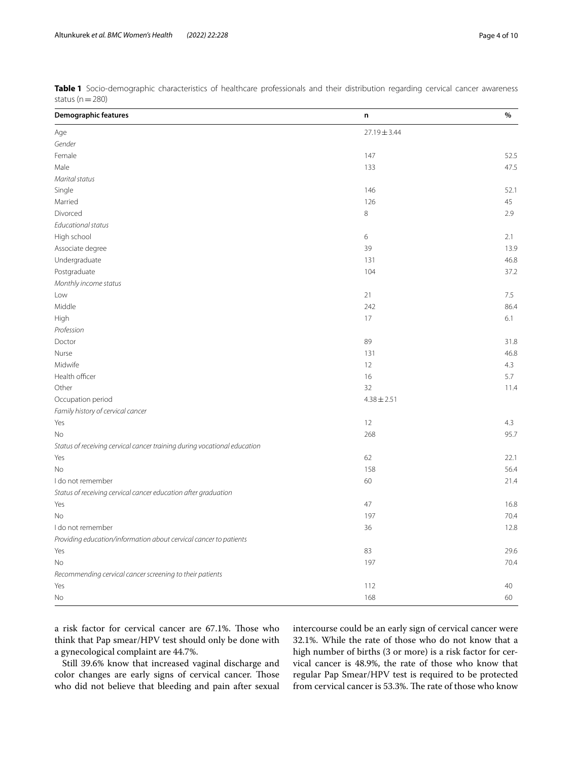| <b>Demographic features</b>                                              | n                | $\%$ |
|--------------------------------------------------------------------------|------------------|------|
| Age                                                                      | $27.19 \pm 3.44$ |      |
| Gender                                                                   |                  |      |
| Female                                                                   | 147              | 52.5 |
| Male                                                                     | 133              | 47.5 |
| Marital status                                                           |                  |      |
| Single                                                                   | 146              | 52.1 |
| Married                                                                  | 126              | 45   |
| Divorced                                                                 | 8                | 2.9  |
| Educational status                                                       |                  |      |
| High school                                                              | 6                | 2.1  |
| Associate degree                                                         | 39               | 13.9 |
| Undergraduate                                                            | 131              | 46.8 |
| Postgraduate                                                             | 104              | 37.2 |
| Monthly income status                                                    |                  |      |
| Low                                                                      | 21               | 7.5  |
| Middle                                                                   | 242              | 86.4 |
| High                                                                     | 17               | 6.1  |
| Profession                                                               |                  |      |
| Doctor                                                                   | 89               | 31.8 |
| Nurse                                                                    | 131              | 46.8 |
| Midwife                                                                  | 12               | 4.3  |
| Health officer                                                           | 16               | 5.7  |
| Other                                                                    | 32               | 11.4 |
| Occupation period                                                        | $4.38 \pm 2.51$  |      |
| Family history of cervical cancer                                        |                  |      |
| Yes                                                                      | 12               | 4.3  |
| No                                                                       | 268              | 95.7 |
| Status of receiving cervical cancer training during vocational education |                  |      |
| Yes                                                                      | 62               | 22.1 |
| No                                                                       | 158              | 56.4 |
| I do not remember                                                        | 60               | 21.4 |
| Status of receiving cervical cancer education after graduation           |                  |      |
| Yes                                                                      | 47               | 16.8 |
| <b>No</b>                                                                | 197              | 70.4 |
| I do not remember                                                        | 36               | 12.8 |
| Providing education/information about cervical cancer to patients        |                  |      |
| Yes                                                                      | 83               | 29.6 |
| No                                                                       | 197              | 70.4 |
| Recommending cervical cancer screening to their patients                 |                  |      |
| Yes                                                                      | 112              | 40   |
| No                                                                       | 168              | 60   |

<span id="page-3-0"></span>**Table 1** Socio-demographic characteristics of healthcare professionals and their distribution regarding cervical cancer awareness status ( $n=280$ )

a risk factor for cervical cancer are 67.1%. Those who think that Pap smear/HPV test should only be done with a gynecological complaint are 44.7%.

Still 39.6% know that increased vaginal discharge and color changes are early signs of cervical cancer. Those who did not believe that bleeding and pain after sexual

intercourse could be an early sign of cervical cancer were 32.1%. While the rate of those who do not know that a high number of births (3 or more) is a risk factor for cervical cancer is 48.9%, the rate of those who know that regular Pap Smear/HPV test is required to be protected from cervical cancer is 53.3%. The rate of those who know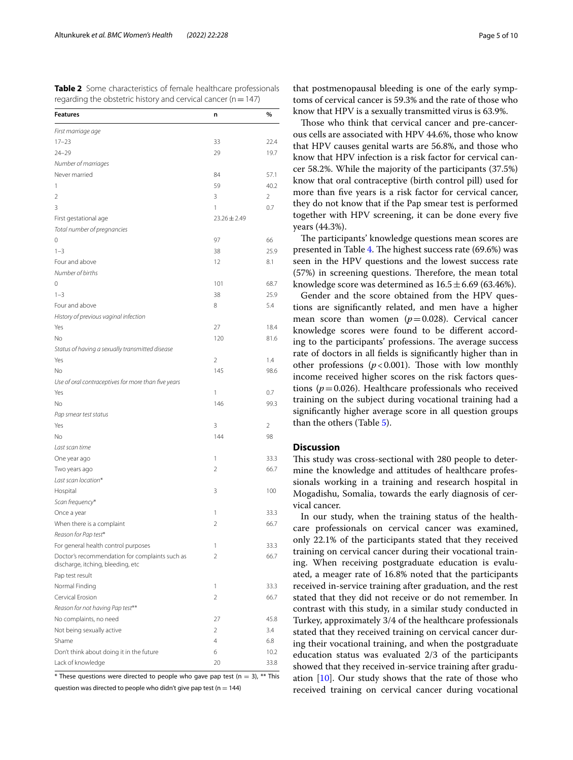<span id="page-4-0"></span>**Table 2** Some characteristics of female healthcare professionals regarding the obstetric history and cervical cancer ( $n=147$ )

| <b>Features</b>                                                                     | n                     | %              |
|-------------------------------------------------------------------------------------|-----------------------|----------------|
| First marriage age                                                                  |                       |                |
| $17 - 23$                                                                           | 33                    | 22.4           |
| $24 - 29$                                                                           | 29                    | 19.7           |
| Number of marriages                                                                 |                       |                |
| Never married                                                                       | 84                    | 57.1           |
| 1                                                                                   | 59                    | 40.2           |
| $\overline{2}$                                                                      | 3                     | $\overline{2}$ |
| 3                                                                                   | 1                     | 0.7            |
| First gestational age                                                               | $23.26 \pm 2.49$      |                |
| Total number of pregnancies                                                         |                       |                |
| 0                                                                                   | 97                    | 66             |
| $1 - 3$                                                                             | 38                    | 25.9           |
| Four and above                                                                      | 12                    | 8.1            |
| Number of births                                                                    |                       |                |
| 0                                                                                   | 101                   | 68.7           |
| $1 - 3$                                                                             | 38                    | 25.9           |
| Four and above                                                                      | 8                     | 5.4            |
| History of previous vaginal infection                                               |                       |                |
| Yes                                                                                 | 27                    | 18.4           |
| No                                                                                  | 120                   | 81.6           |
|                                                                                     |                       |                |
| Status of having a sexually transmitted disease                                     |                       |                |
| Yes                                                                                 | $\overline{2}$<br>145 | 1.4            |
| No                                                                                  |                       | 98.6           |
| Use of oral contraceptives for more than five years                                 |                       |                |
| Yes                                                                                 | 1                     | 0.7            |
| No                                                                                  | 146                   | 99.3           |
| Pap smear test status                                                               |                       |                |
| Yes                                                                                 | 3                     | $\overline{2}$ |
| No                                                                                  | 144                   | 98             |
| Last scan time                                                                      |                       |                |
| One year ago                                                                        | 1                     | 33.3           |
| Two years ago                                                                       | $\overline{2}$        | 66.7           |
| Last scan location*                                                                 |                       |                |
| Hospital                                                                            | 3                     | 100            |
| Scan frequency*                                                                     |                       |                |
| Once a year                                                                         | 1                     | 33.3           |
| When there is a complaint                                                           | $\overline{2}$        | 66.7           |
| Reason for Pap test*                                                                |                       |                |
| For general health control purposes                                                 | 1                     | 33.3           |
| Doctor's recommendation for complaints such as<br>discharge, itching, bleeding, etc | 2                     | 66.7           |
| Pap test result                                                                     |                       |                |
| Normal Finding                                                                      | 1                     | 33.3           |
| Cervical Frosion                                                                    | $\overline{2}$        | 66.7           |
| Reason for not having Pap test**                                                    |                       |                |
| No complaints, no need                                                              | 27                    | 45.8           |
| Not being sexually active                                                           | $\overline{2}$        | 3.4            |
| Shame                                                                               | 4                     | 6.8            |
| Don't think about doing it in the future                                            | 6                     | 10.2           |
| Lack of knowledge                                                                   | 20                    | 33.8           |

\* These questions were directed to people who gave pap test (n = 3), \*\* This question was directed to people who didn't give pap test ( $n = 144$ )

that postmenopausal bleeding is one of the early symptoms of cervical cancer is 59.3% and the rate of those who know that HPV is a sexually transmitted virus is 63.9%.

Those who think that cervical cancer and pre-cancerous cells are associated with HPV 44.6%, those who know that HPV causes genital warts are 56.8%, and those who know that HPV infection is a risk factor for cervical cancer 58.2%. While the majority of the participants (37.5%) know that oral contraceptive (birth control pill) used for more than fve years is a risk factor for cervical cancer, they do not know that if the Pap smear test is performed together with HPV screening, it can be done every fve years (44.3%).

The participants' knowledge questions mean scores are presented in Table [4.](#page-5-1) The highest success rate  $(69.6%)$  was seen in the HPV questions and the lowest success rate  $(57%)$  in screening questions. Therefore, the mean total knowledge score was determined as  $16.5 \pm 6.69$  (63.46%).

Gender and the score obtained from the HPV questions are signifcantly related, and men have a higher mean score than women  $(p=0.028)$ . Cervical cancer knowledge scores were found to be diferent according to the participants' professions. The average success rate of doctors in all felds is signifcantly higher than in other professions  $(p<0.001)$ . Those with low monthly income received higher scores on the risk factors questions ( $p = 0.026$ ). Healthcare professionals who received training on the subject during vocational training had a signifcantly higher average score in all question groups than the others (Table [5\)](#page-6-0).

### **Discussion**

This study was cross-sectional with 280 people to determine the knowledge and attitudes of healthcare professionals working in a training and research hospital in Mogadishu, Somalia, towards the early diagnosis of cervical cancer.

In our study, when the training status of the healthcare professionals on cervical cancer was examined, only 22.1% of the participants stated that they received training on cervical cancer during their vocational training. When receiving postgraduate education is evaluated, a meager rate of 16.8% noted that the participants received in-service training after graduation, and the rest stated that they did not receive or do not remember. In contrast with this study, in a similar study conducted in Turkey, approximately 3/4 of the healthcare professionals stated that they received training on cervical cancer during their vocational training, and when the postgraduate education status was evaluated 2/3 of the participants showed that they received in-service training after graduation [[10](#page-8-10)]. Our study shows that the rate of those who received training on cervical cancer during vocational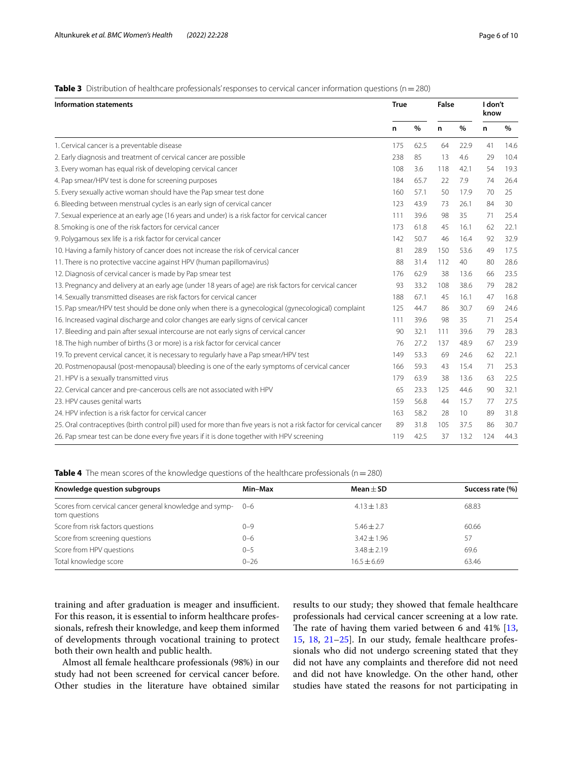<span id="page-5-0"></span>**Table 3** Distribution of healthcare professionals' responses to cervical cancer information questions (n = 280)

| <b>Information statements</b>                                                                                       |     | <b>True</b> |     | False |     | I don't<br>know |  |
|---------------------------------------------------------------------------------------------------------------------|-----|-------------|-----|-------|-----|-----------------|--|
|                                                                                                                     | n   | %           | n   | $\%$  | n   | $\%$            |  |
| 1. Cervical cancer is a preventable disease                                                                         | 175 | 62.5        | 64  | 22.9  | 41  | 14.6            |  |
| 2. Early diagnosis and treatment of cervical cancer are possible                                                    | 238 | 85          | 13  | 4.6   | 29  | 10.4            |  |
| 3. Every woman has equal risk of developing cervical cancer                                                         | 108 | 3.6         | 118 | 42.1  | 54  | 19.3            |  |
| 4. Pap smear/HPV test is done for screening purposes                                                                | 184 | 65.7        | 22  | 7.9   | 74  | 26.4            |  |
| 5. Every sexually active woman should have the Pap smear test done                                                  | 160 | 57.1        | 50  | 17.9  | 70  | 25              |  |
| 6. Bleeding between menstrual cycles is an early sign of cervical cancer                                            | 123 | 43.9        | 73  | 26.1  | 84  | 30              |  |
| 7. Sexual experience at an early age (16 years and under) is a risk factor for cervical cancer                      | 111 | 39.6        | 98  | 35    | 71  | 25.4            |  |
| 8. Smoking is one of the risk factors for cervical cancer                                                           | 173 | 61.8        | 45  | 16.1  | 62  | 22.1            |  |
| 9. Polygamous sex life is a risk factor for cervical cancer                                                         | 142 | 50.7        | 46  | 16.4  | 92  | 32.9            |  |
| 10. Having a family history of cancer does not increase the risk of cervical cancer                                 | 81  | 28.9        | 150 | 53.6  | 49  | 17.5            |  |
| 11. There is no protective vaccine against HPV (human papillomavirus)                                               | 88  | 31.4        | 112 | 40    | 80  | 28.6            |  |
| 12. Diagnosis of cervical cancer is made by Pap smear test                                                          | 176 | 62.9        | 38  | 13.6  | 66  | 23.5            |  |
| 13. Pregnancy and delivery at an early age (under 18 years of age) are risk factors for cervical cancer             | 93  | 33.2        | 108 | 38.6  | 79  | 28.2            |  |
| 14. Sexually transmitted diseases are risk factors for cervical cancer                                              | 188 | 67.1        | 45  | 16.1  | 47  | 16.8            |  |
| 15. Pap smear/HPV test should be done only when there is a gynecological (gynecological) complaint                  | 125 | 44.7        | 86  | 30.7  | 69  | 24.6            |  |
| 16. Increased vaginal discharge and color changes are early signs of cervical cancer                                | 111 | 39.6        | 98  | 35    | 71  | 25.4            |  |
| 17. Bleeding and pain after sexual intercourse are not early signs of cervical cancer                               | 90  | 32.1        | 111 | 39.6  | 79  | 28.3            |  |
| 18. The high number of births (3 or more) is a risk factor for cervical cancer                                      | 76  | 27.2        | 137 | 48.9  | 67  | 23.9            |  |
| 19. To prevent cervical cancer, it is necessary to regularly have a Pap smear/HPV test                              | 149 | 53.3        | 69  | 24.6  | 62  | 22.1            |  |
| 20. Postmenopausal (post-menopausal) bleeding is one of the early symptoms of cervical cancer                       | 166 | 59.3        | 43  | 15.4  | 71  | 25.3            |  |
| 21. HPV is a sexually transmitted virus                                                                             | 179 | 63.9        | 38  | 13.6  | 63  | 22.5            |  |
| 22. Cervical cancer and pre-cancerous cells are not associated with HPV                                             | 65  | 23.3        | 125 | 44.6  | 90  | 32.1            |  |
| 23. HPV causes genital warts                                                                                        | 159 | 56.8        | 44  | 15.7  | 77  | 27.5            |  |
| 24. HPV infection is a risk factor for cervical cancer                                                              | 163 | 58.2        | 28  | 10    | 89  | 31.8            |  |
| 25. Oral contraceptives (birth control pill) used for more than five years is not a risk factor for cervical cancer | 89  | 31.8        | 105 | 37.5  | 86  | 30.7            |  |
| 26. Pap smear test can be done every five years if it is done together with HPV screening                           | 119 | 42.5        | 37  | 13.2  | 124 | 44.3            |  |

<span id="page-5-1"></span>**Table 4** The mean scores of the knowledge questions of the healthcare professionals (n = 280)

| Knowledge question subgroups                                                 | Min-Max  | Mean $\pm$ SD   | Success rate (%) |
|------------------------------------------------------------------------------|----------|-----------------|------------------|
| Scores from cervical cancer general knowledge and symp- 0-6<br>tom questions |          | $4.13 \pm 1.83$ | 68.83            |
| Score from risk factors questions                                            | $() - 9$ | $5.46 + 2.7$    | 60.66            |
| Score from screening questions                                               | $0 - 6$  | $3.42 + 1.96$   | 57               |
| Score from HPV questions                                                     | $0 - 5$  | $3.48 \pm 2.19$ | 69.6             |
| Total knowledge score                                                        | $0 - 26$ | $16.5 + 6.69$   | 63.46            |
|                                                                              |          |                 |                  |

training and after graduation is meager and insufficient. For this reason, it is essential to inform healthcare professionals, refresh their knowledge, and keep them informed of developments through vocational training to protect both their own health and public health.

Almost all female healthcare professionals (98%) in our study had not been screened for cervical cancer before. Other studies in the literature have obtained similar results to our study; they showed that female healthcare professionals had cervical cancer screening at a low rate. The rate of having them varied between 6 and  $41\%$  [[13](#page-8-11), [15,](#page-9-3) [18,](#page-9-0) [21–](#page-9-4)[25\]](#page-9-5). In our study, female healthcare professionals who did not undergo screening stated that they did not have any complaints and therefore did not need and did not have knowledge. On the other hand, other studies have stated the reasons for not participating in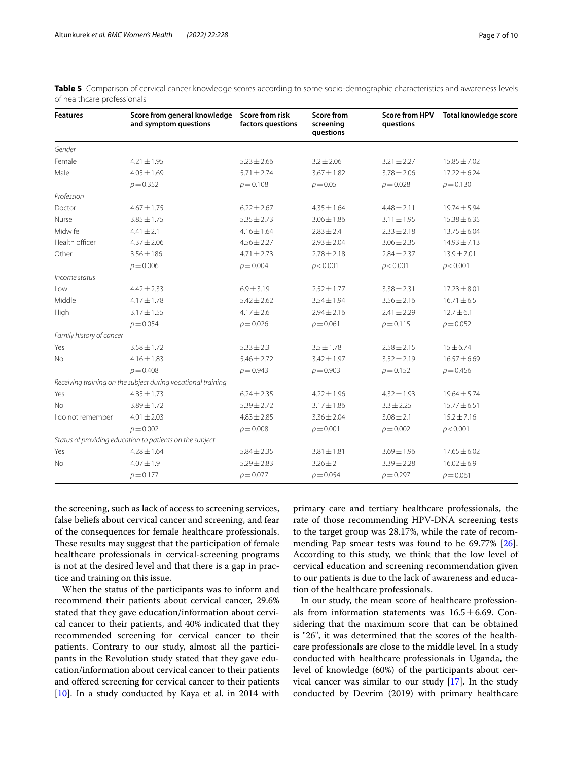| <b>Features</b>          | Score from general knowledge<br>and symptom questions        | Score from risk<br>factors questions | <b>Score from</b><br>screening<br>questions | <b>Score from HPV</b><br>questions | Total knowledge score |
|--------------------------|--------------------------------------------------------------|--------------------------------------|---------------------------------------------|------------------------------------|-----------------------|
| Gender                   |                                                              |                                      |                                             |                                    |                       |
| Female                   | $4.21 \pm 1.95$                                              | $5.23 \pm 2.66$                      | $3.2 \pm 2.06$                              | $3.21 \pm 2.27$                    | $15.85 \pm 7.02$      |
| Male                     | $4.05 \pm 1.69$                                              | $5.71 \pm 2.74$                      | $3.67 \pm 1.82$                             | $3.78 \pm 2.06$                    | $17.22 \pm 6.24$      |
|                          | $p = 0.352$                                                  | $p = 0.108$                          | $p = 0.05$                                  | $p = 0.028$                        | $p = 0.130$           |
| Profession               |                                                              |                                      |                                             |                                    |                       |
| Doctor                   | $4.67 \pm 1.75$                                              | $6.22 \pm 2.67$                      | $4.35 \pm 1.64$                             | $4.48 \pm 2.11$                    | $19.74 \pm 5.94$      |
| Nurse                    | $3.85 \pm 1.75$                                              | $5.35 \pm 2.73$                      | $3.06 \pm 1.86$                             | $3.11 \pm 1.95$                    | $15.38 \pm 6.35$      |
| Midwife                  | $4.41 \pm 2.1$                                               | $4.16 \pm 1.64$                      | $2.83 \pm 2.4$                              | $2.33 \pm 2.18$                    | $13.75 \pm 6.04$      |
| Health officer           | $4.37 \pm 2.06$                                              | $4.56 \pm 2.27$                      | $2.93 \pm 2.04$                             | $3.06 \pm 2.35$                    | $14.93 \pm 7.13$      |
| Other                    | $3.56 \pm 186$                                               | $4.71 \pm 2.73$                      | $2.78 \pm 2.18$                             | $2.84 \pm 2.37$                    | $13.9 \pm 7.01$       |
|                          | $p = 0.006$                                                  | $p = 0.004$                          | p < 0.001                                   | p < 0.001                          | p < 0.001             |
| Income status            |                                                              |                                      |                                             |                                    |                       |
| Low                      | $4.42 \pm 2.33$                                              | $6.9 \pm 3.19$                       | $2.52 \pm 1.77$                             | $3.38 \pm 2.31$                    | $17.23 \pm 8.01$      |
| Middle                   | $4.17 \pm 1.78$                                              | $5.42 \pm 2.62$                      | $3.54 \pm 1.94$                             | $3.56 \pm 2.16$                    | $16.71 \pm 6.5$       |
| High                     | $3.17 \pm 1.55$                                              | $4.17 \pm 2.6$                       | $2.94 \pm 2.16$                             | $2.41 \pm 2.29$                    | $12.7 \pm 6.1$        |
|                          | $p = 0.054$                                                  | $p = 0.026$                          | $p = 0.061$                                 | $p = 0.115$                        | $p = 0.052$           |
| Family history of cancer |                                                              |                                      |                                             |                                    |                       |
| Yes                      | $3.58 \pm 1.72$                                              | $5.33 \pm 2.3$                       | $3.5 \pm 1.78$                              | $2.58 \pm 2.15$                    | $15 + 6.74$           |
| <b>No</b>                | $4.16 \pm 1.83$                                              | $5.46 \pm 2.72$                      | $3.42 \pm 1.97$                             | $3.52 \pm 2.19$                    | $16.57 \pm 6.69$      |
|                          | $p = 0.408$                                                  | $p = 0.943$                          | $p = 0.903$                                 | $p = 0.152$                        | $p = 0.456$           |
|                          | Receiving training on the subject during vocational training |                                      |                                             |                                    |                       |
| Yes                      | $4.85 \pm 1.73$                                              | $6.24 \pm 2.35$                      | $4.22 \pm 1.96$                             | $4.32 \pm 1.93$                    | $19.64 \pm 5.74$      |
| <b>No</b>                | $3.89 \pm 1.72$                                              | $5.39 \pm 2.72$                      | $3.17 \pm 1.86$                             | $3.3 \pm 2.25$                     | $15.77 \pm 6.51$      |
| I do not remember        | $4.01 \pm 2.03$                                              | $4.83 \pm 2.85$                      | $3.36 \pm 2.04$                             | $3.08 \pm 2.1$                     | $15.2 \pm 7.16$       |
|                          | $p = 0.002$                                                  | $p = 0.008$                          | $p = 0.001$                                 | $p = 0.002$                        | p < 0.001             |
|                          | Status of providing education to patients on the subject     |                                      |                                             |                                    |                       |
| Yes                      | $4.28 \pm 1.64$                                              | $5.84 \pm 2.35$                      | $3.81 \pm 1.81$                             | $3.69 \pm 1.96$                    | $17.65 \pm 6.02$      |
| <b>No</b>                | $4.07 \pm 1.9$                                               | $5.29 \pm 2.83$                      | $3.26 \pm 2$                                | $3.39 \pm 2.28$                    | $16.02 \pm 6.9$       |
|                          | $p = 0.177$                                                  | $p = 0.077$                          | $p = 0.054$                                 | $p = 0.297$                        | $p = 0.061$           |

<span id="page-6-0"></span>**Table 5** Comparison of cervical cancer knowledge scores according to some socio-demographic characteristics and awareness levels of healthcare professionals

the screening, such as lack of access to screening services, false beliefs about cervical cancer and screening, and fear of the consequences for female healthcare professionals. These results may suggest that the participation of female healthcare professionals in cervical-screening programs is not at the desired level and that there is a gap in practice and training on this issue.

When the status of the participants was to inform and recommend their patients about cervical cancer, 29.6% stated that they gave education/information about cervical cancer to their patients, and 40% indicated that they recommended screening for cervical cancer to their patients. Contrary to our study, almost all the participants in the Revolution study stated that they gave education/information about cervical cancer to their patients and offered screening for cervical cancer to their patients  $[10]$  $[10]$ . In a study conducted by Kaya et al. in 2014 with primary care and tertiary healthcare professionals, the rate of those recommending HPV-DNA screening tests to the target group was 28.17%, while the rate of recommending Pap smear tests was found to be 69.77% [\[26](#page-9-6)]. According to this study, we think that the low level of cervical education and screening recommendation given to our patients is due to the lack of awareness and education of the healthcare professionals.

In our study, the mean score of healthcare professionals from information statements was  $16.5 \pm 6.69$ . Considering that the maximum score that can be obtained is "26", it was determined that the scores of the healthcare professionals are close to the middle level. In a study conducted with healthcare professionals in Uganda, the level of knowledge (60%) of the participants about cervical cancer was similar to our study [\[17](#page-9-7)]. In the study conducted by Devrim (2019) with primary healthcare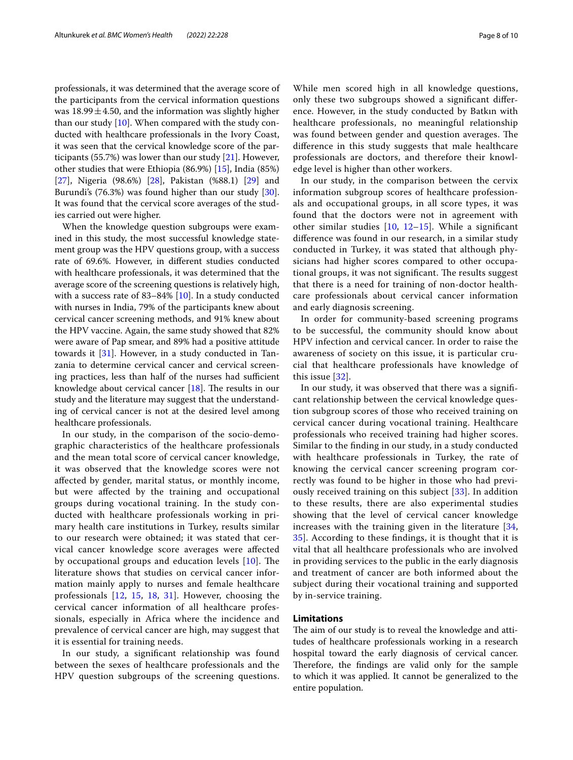professionals, it was determined that the average score of the participants from the cervical information questions was  $18.99 \pm 4.50$ , and the information was slightly higher than our study [\[10\]](#page-8-10). When compared with the study conducted with healthcare professionals in the Ivory Coast, it was seen that the cervical knowledge score of the participants (55.7%) was lower than our study [[21](#page-9-4)]. However, other studies that were Ethiopia (86.9%) [[15\]](#page-9-3), India (85%) [[27\]](#page-9-8), Nigeria (98.6%) [\[28\]](#page-9-9), Pakistan (%88.1) [[29](#page-9-10)] and Burundi's (76.3%) was found higher than our study [\[30](#page-9-11)]. It was found that the cervical score averages of the studies carried out were higher.

When the knowledge question subgroups were examined in this study, the most successful knowledge statement group was the HPV questions group, with a success rate of 69.6%. However, in diferent studies conducted with healthcare professionals, it was determined that the average score of the screening questions is relatively high, with a success rate of 83–84% [[10\]](#page-8-10). In a study conducted with nurses in India, 79% of the participants knew about cervical cancer screening methods, and 91% knew about the HPV vaccine. Again, the same study showed that 82% were aware of Pap smear, and 89% had a positive attitude towards it  $[31]$  $[31]$ . However, in a study conducted in Tanzania to determine cervical cancer and cervical screening practices, less than half of the nurses had sufficient knowledge about cervical cancer  $[18]$  $[18]$ . The results in our study and the literature may suggest that the understanding of cervical cancer is not at the desired level among healthcare professionals.

In our study, in the comparison of the socio-demographic characteristics of the healthcare professionals and the mean total score of cervical cancer knowledge, it was observed that the knowledge scores were not afected by gender, marital status, or monthly income, but were afected by the training and occupational groups during vocational training. In the study conducted with healthcare professionals working in primary health care institutions in Turkey, results similar to our research were obtained; it was stated that cervical cancer knowledge score averages were afected by occupational groups and education levels  $[10]$  $[10]$ . The literature shows that studies on cervical cancer information mainly apply to nurses and female healthcare professionals [[12,](#page-8-7) [15,](#page-9-3) [18,](#page-9-0) [31\]](#page-9-12). However, choosing the cervical cancer information of all healthcare professionals, especially in Africa where the incidence and prevalence of cervical cancer are high, may suggest that it is essential for training needs.

In our study, a signifcant relationship was found between the sexes of healthcare professionals and the HPV question subgroups of the screening questions.

While men scored high in all knowledge questions, only these two subgroups showed a signifcant diference. However, in the study conducted by Batkın with healthcare professionals, no meaningful relationship was found between gender and question averages. The diference in this study suggests that male healthcare professionals are doctors, and therefore their knowledge level is higher than other workers.

In our study, in the comparison between the cervix information subgroup scores of healthcare professionals and occupational groups, in all score types, it was found that the doctors were not in agreement with other similar studies [[10,](#page-8-10) [12–](#page-8-7)[15\]](#page-9-3). While a signifcant diference was found in our research, in a similar study conducted in Turkey, it was stated that although physicians had higher scores compared to other occupational groups, it was not significant. The results suggest that there is a need for training of non-doctor healthcare professionals about cervical cancer information and early diagnosis screening.

In order for community-based screening programs to be successful, the community should know about HPV infection and cervical cancer. In order to raise the awareness of society on this issue, it is particular crucial that healthcare professionals have knowledge of this issue [\[32](#page-9-13)].

In our study, it was observed that there was a signifcant relationship between the cervical knowledge question subgroup scores of those who received training on cervical cancer during vocational training. Healthcare professionals who received training had higher scores. Similar to the fnding in our study, in a study conducted with healthcare professionals in Turkey, the rate of knowing the cervical cancer screening program correctly was found to be higher in those who had previously received training on this subject [[33\]](#page-9-14). In addition to these results, there are also experimental studies showing that the level of cervical cancer knowledge increases with the training given in the literature [\[34](#page-9-15), [35\]](#page-9-16). According to these fndings, it is thought that it is vital that all healthcare professionals who are involved in providing services to the public in the early diagnosis and treatment of cancer are both informed about the subject during their vocational training and supported by in-service training.

# **Limitations**

The aim of our study is to reveal the knowledge and attitudes of healthcare professionals working in a research hospital toward the early diagnosis of cervical cancer. Therefore, the findings are valid only for the sample to which it was applied. It cannot be generalized to the entire population.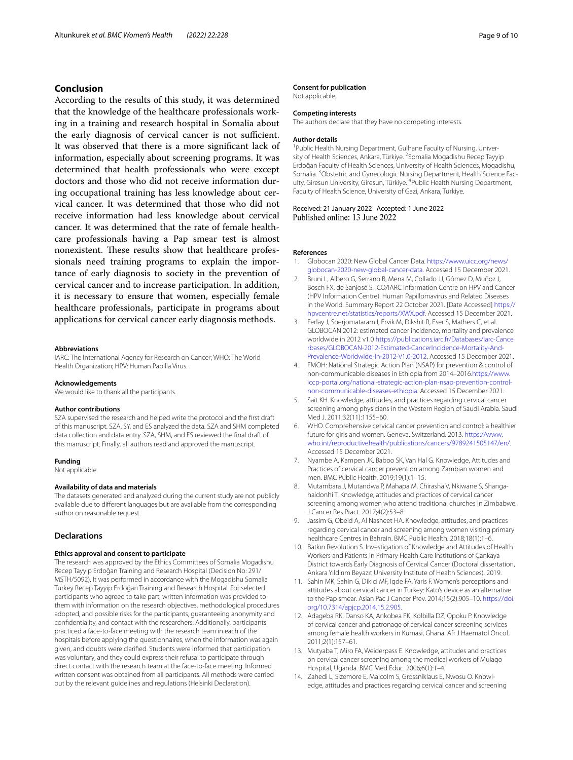# **Conclusion**

According to the results of this study, it was determined that the knowledge of the healthcare professionals working in a training and research hospital in Somalia about the early diagnosis of cervical cancer is not sufficient. It was observed that there is a more signifcant lack of information, especially about screening programs. It was determined that health professionals who were except doctors and those who did not receive information during occupational training has less knowledge about cervical cancer. It was determined that those who did not receive information had less knowledge about cervical cancer. It was determined that the rate of female healthcare professionals having a Pap smear test is almost nonexistent. These results show that healthcare professionals need training programs to explain the importance of early diagnosis to society in the prevention of cervical cancer and to increase participation. In addition, it is necessary to ensure that women, especially female healthcare professionals, participate in programs about applications for cervical cancer early diagnosis methods.

#### **Abbreviations**

IARC: The International Agency for Research on Cancer; WHO: The World Health Organization; HPV: Human Papilla Virus.

#### **Acknowledgements**

We would like to thank all the participants.

#### **Author contributions**

SZA supervised the research and helped write the protocol and the first draft of this manuscript. SZA, SY, and ES analyzed the data. SZA and SHM completed data collection and data entry. SZA, SHM, and ES reviewed the fnal draft of this manuscript. Finally, all authors read and approved the manuscript.

#### **Funding**

Not applicable.

# **Availability of data and materials**

The datasets generated and analyzed during the current study are not publicly available due to diferent languages but are available from the corresponding author on reasonable request.

# **Declarations**

#### **Ethics approval and consent to participate**

The research was approved by the Ethics Committees of Somalia Mogadishu Recep Tayyip Erdoğan Training and Research Hospital (Decision No: 291/ MSTH/5092). It was performed in accordance with the Mogadishu Somalia Turkey Recep Tayyip Erdoğan Training and Research Hospital. For selected participants who agreed to take part, written information was provided to them with information on the research objectives, methodological procedures adopted, and possible risks for the participants, guaranteeing anonymity and confdentiality, and contact with the researchers. Additionally, participants practiced a face-to-face meeting with the research team in each of the hospitals before applying the questionnaires, when the information was again given, and doubts were clarifed. Students were informed that participation was voluntary, and they could express their refusal to participate through direct contact with the research team at the face-to-face meeting. Informed written consent was obtained from all participants. All methods were carried out by the relevant guidelines and regulations (Helsinki Declaration).

#### **Consent for publication**

Not applicable.

# **Competing interests**

The authors declare that they have no competing interests.

#### **Author details**

<sup>1</sup> Public Health Nursing Department, Gulhane Faculty of Nursing, University of Health Sciences, Ankara, Türkiye. <sup>2</sup> Somalia Mogadishu Recep Tayyip Erdoğan Faculty of Health Sciences, University of Health Sciences, Mogadishu, Somalia. <sup>3</sup> Obstetric and Gynecologic Nursing Department, Health Science Faculty, Giresun University, Giresun, Türkiye. 4 Public Health Nursing Department, Faculty of Health Science, University of Gazi, Ankara, Türkiye.

Received: 21 January 2022 Accepted: 1 June 2022 Published online: 13 June 2022

#### **References**

- <span id="page-8-0"></span>1. Globocan 2020: New Global Cancer Data. [https://www.uicc.org/news/](https://www.uicc.org/news/globocan-2020-new-global-cancer-data) [globocan-2020-new-global-cancer-data.](https://www.uicc.org/news/globocan-2020-new-global-cancer-data) Accessed 15 December 2021.
- <span id="page-8-1"></span>2. Bruni L, Albero G, Serrano B, Mena M, Collado JJ, Gómez D, Muñoz J, Bosch FX, de Sanjosé S. ICO/IARC Information Centre on HPV and Cancer (HPV Information Centre). Human Papillomavirus and Related Diseases in the World. Summary Report 22 October 2021. [Date Accessed] [https://](https://hpvcentre.net/statistics/reports/XWX.pdf) [hpvcentre.net/statistics/reports/XWX.pdf.](https://hpvcentre.net/statistics/reports/XWX.pdf) Accessed 15 December 2021.
- <span id="page-8-2"></span>3. Ferlay J, Soerjomataram I, Ervik M, Dikshit R, Eser S, Mathers C, et al. GLOBOCAN 2012: estimated cancer incidence, mortality and prevalence worldwide in 2012 v1.0 [https://publications.iarc.fr/Databases/Iarc-Cance](https://publications.iarc.fr/Databases/Iarc-Cancerbases/GLOBOCAN-2012-Estimated-CancerIncidence-Mortality-And-Prevalence-Worldwide-In-2012-V1.0-2012) [rbases/GLOBOCAN-2012-Estimated-CancerIncidence-Mortality-And-](https://publications.iarc.fr/Databases/Iarc-Cancerbases/GLOBOCAN-2012-Estimated-CancerIncidence-Mortality-And-Prevalence-Worldwide-In-2012-V1.0-2012)[Prevalence-Worldwide-In-2012-V1.0-2012.](https://publications.iarc.fr/Databases/Iarc-Cancerbases/GLOBOCAN-2012-Estimated-CancerIncidence-Mortality-And-Prevalence-Worldwide-In-2012-V1.0-2012) Accessed 15 December 2021.
- <span id="page-8-3"></span>4. FMOH: National Strategic Action Plan (NSAP) for prevention & control of non-communicable diseases in Ethiopia from 2014–2016[.https://www.](https://www.iccp-portal.org/national-strategic-action-plan-nsap-prevention-control-non-communicable-diseases-ethiopia) [iccp-portal.org/national-strategic-action-plan-nsap-prevention-control](https://www.iccp-portal.org/national-strategic-action-plan-nsap-prevention-control-non-communicable-diseases-ethiopia)[non-communicable-diseases-ethiopia.](https://www.iccp-portal.org/national-strategic-action-plan-nsap-prevention-control-non-communicable-diseases-ethiopia) Accessed 15 December 2021.
- <span id="page-8-4"></span>5. Sait KH. Knowledge, attitudes, and practices regarding cervical cancer screening among physicians in the Western Region of Saudi Arabia. Saudi Med J. 2011;32(11):1155–60.
- <span id="page-8-5"></span>6. WHO. Comprehensive cervical cancer prevention and control: a healthier future for girls and women. Geneva. Switzerland. 2013. [https://www.](https://www.who.int/reproductivehealth/publications/cancers/9789241505147/en/) [who.int/reproductivehealth/publications/cancers/9789241505147/en/](https://www.who.int/reproductivehealth/publications/cancers/9789241505147/en/). Accessed 15 December 2021.
- <span id="page-8-8"></span>7. Nyambe A, Kampen JK, Baboo SK, Van Hal G. Knowledge, Attitudes and Practices of cervical cancer prevention among Zambian women and men. BMC Public Health. 2019;19(1):1–15.
- 8. Mutambara J, Mutandwa P, Mahapa M, Chirasha V, Nkiwane S, Shangahaidonhi T. Knowledge, attitudes and practices of cervical cancer screening among women who attend traditional churches in Zimbabwe. J Cancer Res Pract. 2017;4(2):53–8.
- <span id="page-8-9"></span>Jassim G, Obeid A, Al Nasheet HA. Knowledge, attitudes, and practices regarding cervical cancer and screening among women visiting primary healthcare Centres in Bahrain. BMC Public Health. 2018;18(1):1–6.
- <span id="page-8-10"></span>10. Batkın Revolution S. Investigation of Knowledge and Attitudes of Health Workers and Patients in Primary Health Care Institutions of Çankaya District towards Early Diagnosis of Cervical Cancer (Doctoral dissertation, Ankara Yıldırım Beyazıt University Institute of Health Sciences). 2019.
- <span id="page-8-6"></span>11. Sahin MK, Sahin G, Dikici MF, Igde FA, Yaris F. Women's perceptions and attitudes about cervical cancer in Turkey: Kato's device as an alternative to the Pap smear. Asian Pac J Cancer Prev. 2014;15(2):905–10. [https://doi.](https://doi.org/10.7314/apjcp.2014.15.2.905) [org/10.7314/apjcp.2014.15.2.905.](https://doi.org/10.7314/apjcp.2014.15.2.905)
- <span id="page-8-7"></span>12. Adageba RK, Danso KA, Ankobea FK, Kolbilla DZ, Opoku P. Knowledge of cervical cancer and patronage of cervical cancer screening services among female health workers in Kumasi, Ghana. Afr J Haematol Oncol. 2011;2(1):157–61.
- <span id="page-8-11"></span>13. Mutyaba T, Miro FA, Weiderpass E. Knowledge, attitudes and practices on cervical cancer screening among the medical workers of Mulago Hospital, Uganda. BMC Med Educ. 2006;6(1):1–4.
- 14. Zahedi L, Sizemore E, Malcolm S, Grossniklaus E, Nwosu O. Knowledge, attitudes and practices regarding cervical cancer and screening